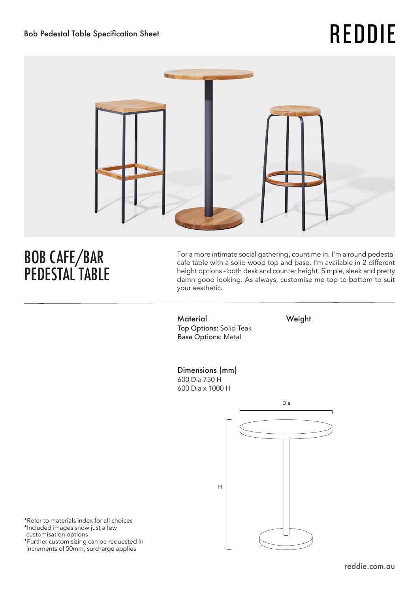# **REDDIE**



# BOB CAFE/BAR PEDESTAL TABLE

For a more intimate social gathering, count me in. I'm a round pedestal cafe table with a solid wood top and base. I'm available in 2 different height options - both desk and counter height. Simple, sleek and pretty damn good looking. As always, customise me top to bottom to suit your aesthetic.

Material Weight Top Options: Solid Teak Base Options: Metal

## Dimensions (mm)

H

600 Dia 750 H 600 Dia x 1000 H



\*Refer to materials index for all choices \*Included images show just a few customisation options \*Further custom sizing can be requested in increments of 50mm, surcharge applies